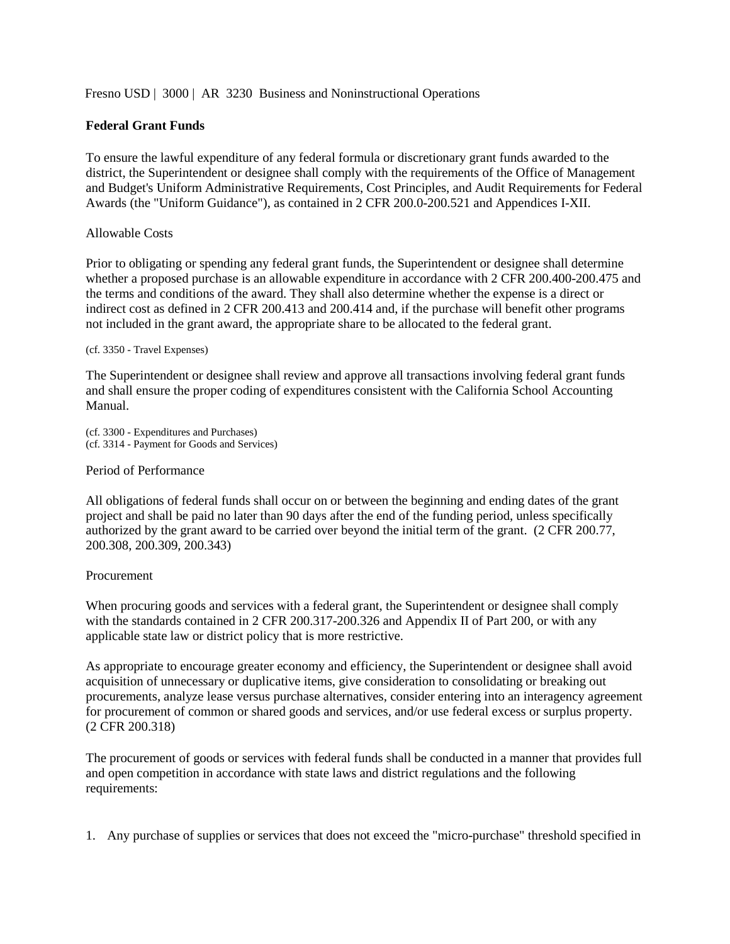Fresno USD | 3000 | AR 3230 Business and Noninstructional Operations

# **Federal Grant Funds**

To ensure the lawful expenditure of any federal formula or discretionary grant funds awarded to the district, the Superintendent or designee shall comply with the requirements of the Office of Management and Budget's Uniform Administrative Requirements, Cost Principles, and Audit Requirements for Federal Awards (the "Uniform Guidance"), as contained in 2 CFR 200.0-200.521 and Appendices I-XII.

## Allowable Costs

Prior to obligating or spending any federal grant funds, the Superintendent or designee shall determine whether a proposed purchase is an allowable expenditure in accordance with 2 CFR 200.400-200.475 and the terms and conditions of the award. They shall also determine whether the expense is a direct or indirect cost as defined in 2 CFR 200.413 and 200.414 and, if the purchase will benefit other programs not included in the grant award, the appropriate share to be allocated to the federal grant.

(cf. 3350 - Travel Expenses)

The Superintendent or designee shall review and approve all transactions involving federal grant funds and shall ensure the proper coding of expenditures consistent with the California School Accounting Manual.

(cf. 3300 - Expenditures and Purchases) (cf. 3314 - Payment for Goods and Services)

### Period of Performance

All obligations of federal funds shall occur on or between the beginning and ending dates of the grant project and shall be paid no later than 90 days after the end of the funding period, unless specifically authorized by the grant award to be carried over beyond the initial term of the grant. (2 CFR 200.77, 200.308, 200.309, 200.343)

### Procurement

When procuring goods and services with a federal grant, the Superintendent or designee shall comply with the standards contained in 2 CFR 200.317-200.326 and Appendix II of Part 200, or with any applicable state law or district policy that is more restrictive.

As appropriate to encourage greater economy and efficiency, the Superintendent or designee shall avoid acquisition of unnecessary or duplicative items, give consideration to consolidating or breaking out procurements, analyze lease versus purchase alternatives, consider entering into an interagency agreement for procurement of common or shared goods and services, and/or use federal excess or surplus property. (2 CFR 200.318)

The procurement of goods or services with federal funds shall be conducted in a manner that provides full and open competition in accordance with state laws and district regulations and the following requirements:

1. Any purchase of supplies or services that does not exceed the "micro-purchase" threshold specified in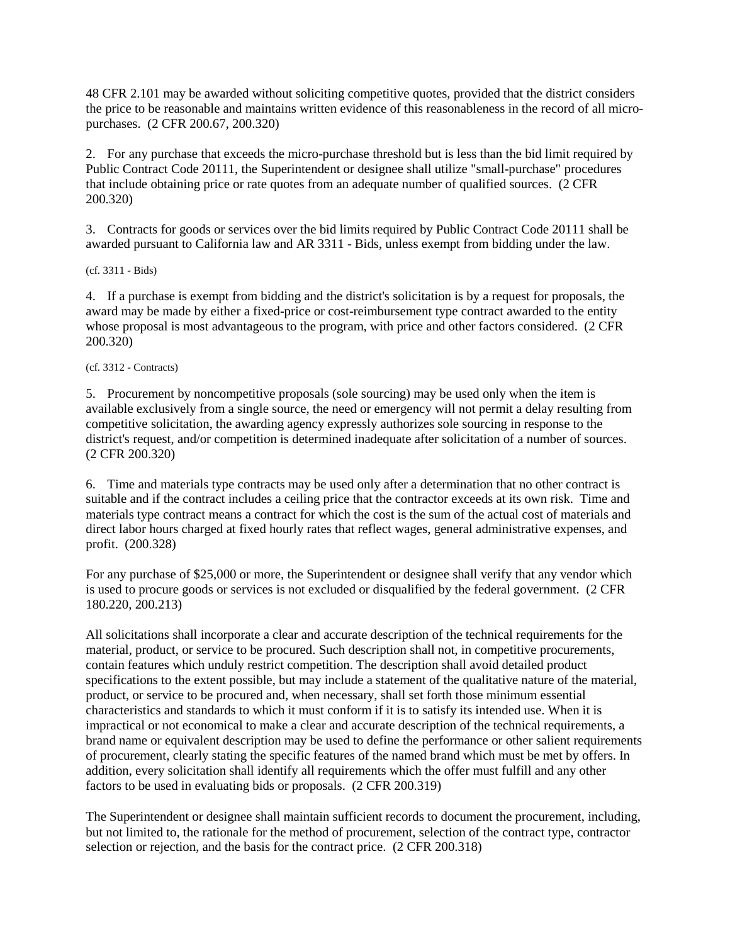48 CFR 2.101 may be awarded without soliciting competitive quotes, provided that the district considers the price to be reasonable and maintains written evidence of this reasonableness in the record of all micropurchases. (2 CFR 200.67, 200.320)

2. For any purchase that exceeds the micro-purchase threshold but is less than the bid limit required by Public Contract Code 20111, the Superintendent or designee shall utilize "small-purchase" procedures that include obtaining price or rate quotes from an adequate number of qualified sources. (2 CFR 200.320)

3. Contracts for goods or services over the bid limits required by Public Contract Code 20111 shall be awarded pursuant to California law and AR 3311 - Bids, unless exempt from bidding under the law.

(cf. 3311 - Bids)

4. If a purchase is exempt from bidding and the district's solicitation is by a request for proposals, the award may be made by either a fixed-price or cost-reimbursement type contract awarded to the entity whose proposal is most advantageous to the program, with price and other factors considered. (2 CFR 200.320)

(cf. 3312 - Contracts)

5. Procurement by noncompetitive proposals (sole sourcing) may be used only when the item is available exclusively from a single source, the need or emergency will not permit a delay resulting from competitive solicitation, the awarding agency expressly authorizes sole sourcing in response to the district's request, and/or competition is determined inadequate after solicitation of a number of sources. (2 CFR 200.320)

6. Time and materials type contracts may be used only after a determination that no other contract is suitable and if the contract includes a ceiling price that the contractor exceeds at its own risk. Time and materials type contract means a contract for which the cost is the sum of the actual cost of materials and direct labor hours charged at fixed hourly rates that reflect wages, general administrative expenses, and profit. (200.328)

For any purchase of \$25,000 or more, the Superintendent or designee shall verify that any vendor which is used to procure goods or services is not excluded or disqualified by the federal government. (2 CFR 180.220, 200.213)

All solicitations shall incorporate a clear and accurate description of the technical requirements for the material, product, or service to be procured. Such description shall not, in competitive procurements, contain features which unduly restrict competition. The description shall avoid detailed product specifications to the extent possible, but may include a statement of the qualitative nature of the material, product, or service to be procured and, when necessary, shall set forth those minimum essential characteristics and standards to which it must conform if it is to satisfy its intended use. When it is impractical or not economical to make a clear and accurate description of the technical requirements, a brand name or equivalent description may be used to define the performance or other salient requirements of procurement, clearly stating the specific features of the named brand which must be met by offers. In addition, every solicitation shall identify all requirements which the offer must fulfill and any other factors to be used in evaluating bids or proposals. (2 CFR 200.319)

The Superintendent or designee shall maintain sufficient records to document the procurement, including, but not limited to, the rationale for the method of procurement, selection of the contract type, contractor selection or rejection, and the basis for the contract price. (2 CFR 200.318)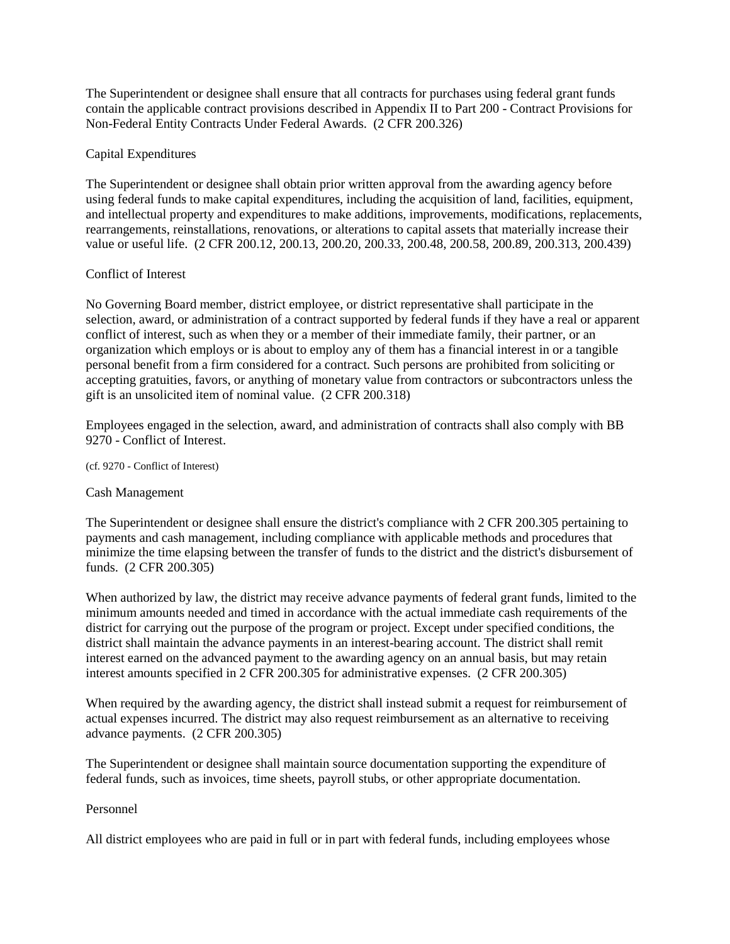The Superintendent or designee shall ensure that all contracts for purchases using federal grant funds contain the applicable contract provisions described in Appendix II to Part 200 - Contract Provisions for Non-Federal Entity Contracts Under Federal Awards. (2 CFR 200.326)

## Capital Expenditures

The Superintendent or designee shall obtain prior written approval from the awarding agency before using federal funds to make capital expenditures, including the acquisition of land, facilities, equipment, and intellectual property and expenditures to make additions, improvements, modifications, replacements, rearrangements, reinstallations, renovations, or alterations to capital assets that materially increase their value or useful life. (2 CFR 200.12, 200.13, 200.20, 200.33, 200.48, 200.58, 200.89, 200.313, 200.439)

## Conflict of Interest

No Governing Board member, district employee, or district representative shall participate in the selection, award, or administration of a contract supported by federal funds if they have a real or apparent conflict of interest, such as when they or a member of their immediate family, their partner, or an organization which employs or is about to employ any of them has a financial interest in or a tangible personal benefit from a firm considered for a contract. Such persons are prohibited from soliciting or accepting gratuities, favors, or anything of monetary value from contractors or subcontractors unless the gift is an unsolicited item of nominal value. (2 CFR 200.318)

Employees engaged in the selection, award, and administration of contracts shall also comply with BB 9270 - Conflict of Interest.

(cf. 9270 - Conflict of Interest)

### Cash Management

The Superintendent or designee shall ensure the district's compliance with 2 CFR 200.305 pertaining to payments and cash management, including compliance with applicable methods and procedures that minimize the time elapsing between the transfer of funds to the district and the district's disbursement of funds. (2 CFR 200.305)

When authorized by law, the district may receive advance payments of federal grant funds, limited to the minimum amounts needed and timed in accordance with the actual immediate cash requirements of the district for carrying out the purpose of the program or project. Except under specified conditions, the district shall maintain the advance payments in an interest-bearing account. The district shall remit interest earned on the advanced payment to the awarding agency on an annual basis, but may retain interest amounts specified in 2 CFR 200.305 for administrative expenses. (2 CFR 200.305)

When required by the awarding agency, the district shall instead submit a request for reimbursement of actual expenses incurred. The district may also request reimbursement as an alternative to receiving advance payments. (2 CFR 200.305)

The Superintendent or designee shall maintain source documentation supporting the expenditure of federal funds, such as invoices, time sheets, payroll stubs, or other appropriate documentation.

## Personnel

All district employees who are paid in full or in part with federal funds, including employees whose